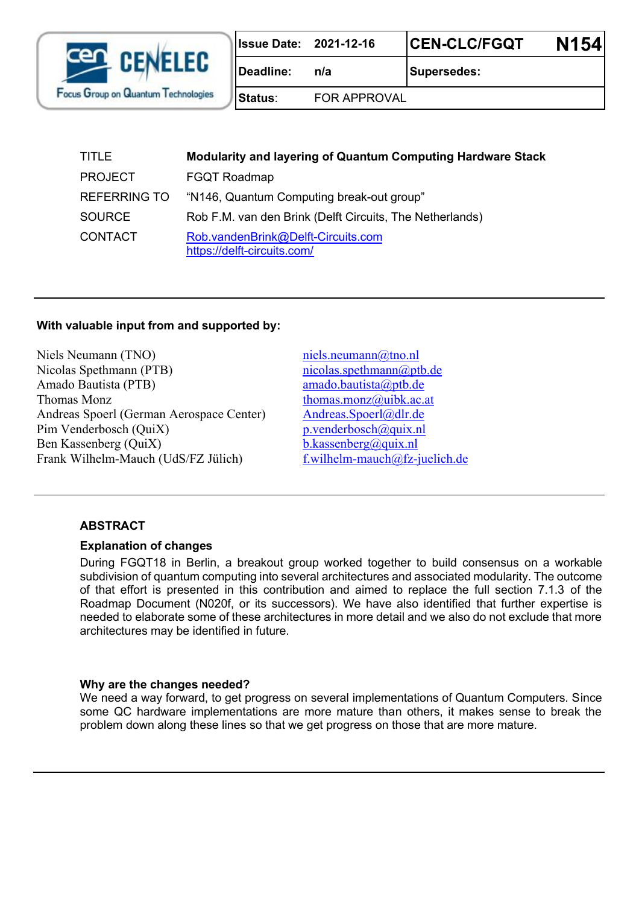

|           | <b>Issue Date: 2021-12-16</b> | <b>CEN-CLC/FGQT</b> | <b>N154</b> |
|-----------|-------------------------------|---------------------|-------------|
| Deadline: | n/a                           | <b>Supersedes:</b>  |             |
| lStatus∶  | <b>FOR APPROVAL</b>           |                     |             |

| <b>TITLE</b>        | <b>Modularity and layering of Quantum Computing Hardware Stack</b> |  |
|---------------------|--------------------------------------------------------------------|--|
| <b>PROJECT</b>      | <b>FGQT Roadmap</b>                                                |  |
| <b>REFERRING TO</b> | "N146, Quantum Computing break-out group"                          |  |
| <b>SOURCE</b>       | Rob F.M. van den Brink (Delft Circuits, The Netherlands)           |  |
| <b>CONTACT</b>      | Rob.vandenBrink@Delft-Circuits.com<br>https://delft-circuits.com/  |  |

#### **With valuable input from and supported by:**

Niels Neumann (TNO) [niels.neumann@tno.nl](mailto:niels.neumann@tno.nl) Nicolas Spethmann (PTB) nicolas.spethmann (approximation of the nicolas.spethmann (approximation of the nicolas.spethmann (approximation of the nicolas.spethmann (approximation of the nicolas.spethmann (approximation of th Amado Bautista (PTB) amado.bautista (aptb.de Thomas Monz  $t$  thomas.monz $\omega$ uibk.ac.at Andreas Spoerl (German Aerospace Center) [Andreas.Spoerl@dlr.de](mailto:Andreas.Spoerl@dlr.de) Pim Venderbosch (QuiX) p.venderbosch (QuiX) Ben Kassenberg (QuiX) b.kassenberg (QuiX) Frank Wilhelm-Mauch (UdS/FZ Jülich) [f.wilhelm-mauch@fz-juelich.de](mailto:f.wilhelm-mauch@fz-juelich.de)

#### **ABSTRACT**

#### **Explanation of changes**

During FGQT18 in Berlin, a breakout group worked together to build consensus on a workable subdivision of quantum computing into several architectures and associated modularity. The outcome of that effort is presented in this contribution and aimed to replace the full section 7.1.3 of the Roadmap Document (N020f, or its successors). We have also identified that further expertise is needed to elaborate some of these architectures in more detail and we also do not exclude that more architectures may be identified in future.

#### **Why are the changes needed?**

We need a way forward, to get progress on several implementations of Quantum Computers. Since some QC hardware implementations are more mature than others, it makes sense to break the problem down along these lines so that we get progress on those that are more mature.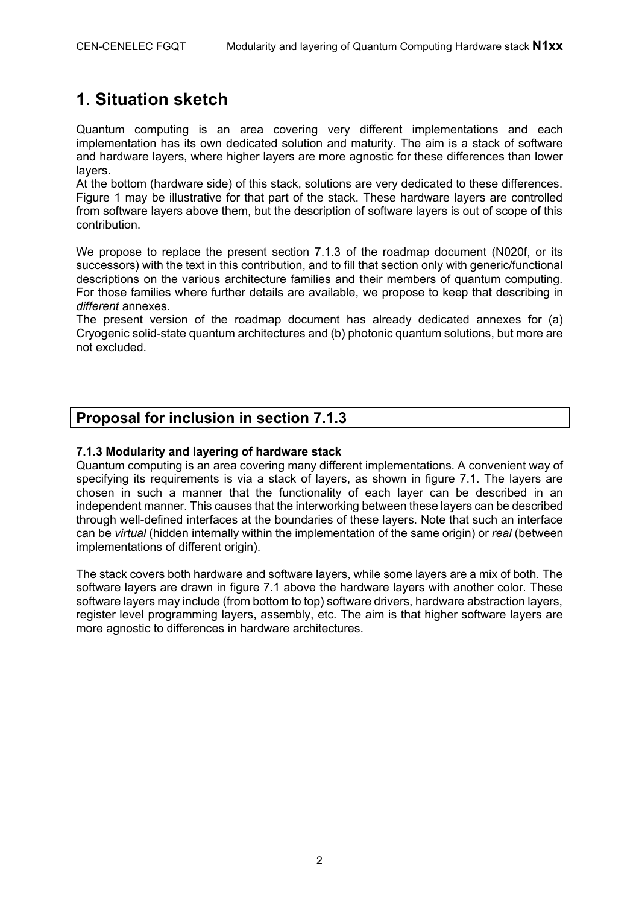# **1. Situation sketch**

Quantum computing is an area covering very different implementations and each implementation has its own dedicated solution and maturity. The aim is a stack of software and hardware layers, where higher layers are more agnostic for these differences than lower layers.

At the bottom (hardware side) of this stack, solutions are very dedicated to these differences. Figure 1 may be illustrative for that part of the stack. These hardware layers are controlled from software layers above them, but the description of software layers is out of scope of this contribution.

We propose to replace the present section 7.1.3 of the roadmap document (N020f, or its successors) with the text in this contribution, and to fill that section only with generic/functional descriptions on the various architecture families and their members of quantum computing. For those families where further details are available, we propose to keep that describing in *different* annexes.

The present version of the roadmap document has already dedicated annexes for (a) Cryogenic solid-state quantum architectures and (b) photonic quantum solutions, but more are not excluded.

# **Proposal for inclusion in section 7.1.3**

#### **7.1.3 Modularity and layering of hardware stack**

Quantum computing is an area covering many different implementations. A convenient way of specifying its requirements is via a stack of layers, as shown in figure 7.1. The layers are chosen in such a manner that the functionality of each layer can be described in an independent manner. This causes that the interworking between these layers can be described through well-defined interfaces at the boundaries of these layers. Note that such an interface can be *virtual* (hidden internally within the implementation of the same origin) or *real* (between implementations of different origin).

The stack covers both hardware and software layers, while some layers are a mix of both. The software layers are drawn in figure 7.1 above the hardware layers with another color. These software layers may include (from bottom to top) software drivers, hardware abstraction layers, register level programming layers, assembly, etc. The aim is that higher software layers are more agnostic to differences in hardware architectures.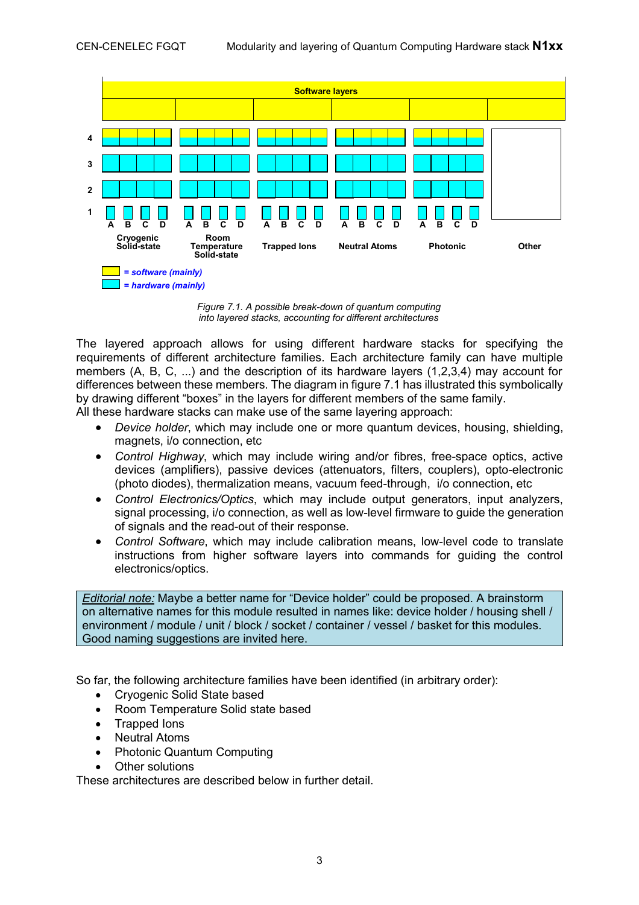

*Figure 7.1. A possible break-down of quantum computing into layered stacks, accounting for different architectures* 

The layered approach allows for using different hardware stacks for specifying the requirements of different architecture families. Each architecture family can have multiple members (A, B, C, ...) and the description of its hardware layers (1,2,3,4) may account for differences between these members. The diagram in figure 7.1 has illustrated this symbolically by drawing different "boxes" in the layers for different members of the same family. All these hardware stacks can make use of the same layering approach:

· *Device holder*, which may include one or more quantum devices, housing, shielding, magnets, i/o connection, etc

- · *Control Highway*, which may include wiring and/or fibres, free-space optics, active devices (amplifiers), passive devices (attenuators, filters, couplers), opto-electronic (photo diodes), thermalization means, vacuum feed-through, i/o connection, etc
- · *Control Electronics/Optics*, which may include output generators, input analyzers, signal processing, i/o connection, as well as low-level firmware to guide the generation of signals and the read-out of their response.
- · *Control Software*, which may include calibration means, low-level code to translate instructions from higher software layers into commands for guiding the control electronics/optics.

*Editorial note:* Maybe a better name for "Device holder" could be proposed. A brainstorm on alternative names for this module resulted in names like: device holder / housing shell / environment / module / unit / block / socket / container / vessel / basket for this modules. Good naming suggestions are invited here.

So far, the following architecture families have been identified (in arbitrary order):

- · Cryogenic Solid State based
- Room Temperature Solid state based
- · Trapped Ions
- · Neutral Atoms
- · Photonic Quantum Computing
- · Other solutions

These architectures are described below in further detail.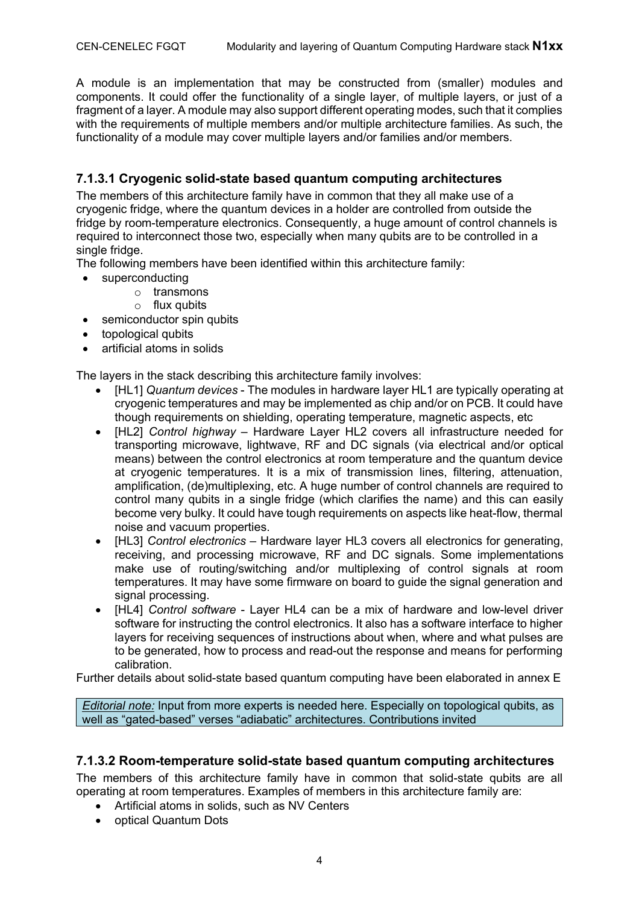A module is an implementation that may be constructed from (smaller) modules and components. It could offer the functionality of a single layer, of multiple layers, or just of a fragment of a layer. A module may also support different operating modes, such that it complies with the requirements of multiple members and/or multiple architecture families. As such, the functionality of a module may cover multiple layers and/or families and/or members.

## **7.1.3.1 Cryogenic solid-state based quantum computing architectures**

The members of this architecture family have in common that they all make use of a cryogenic fridge, where the quantum devices in a holder are controlled from outside the fridge by room-temperature electronics. Consequently, a huge amount of control channels is required to interconnect those two, especially when many qubits are to be controlled in a single fridge.

The following members have been identified within this architecture family:

- superconducting
	- o transmons
	- $\circ$  flux qubits
- semiconductor spin qubits
- topological qubits
- artificial atoms in solids

The layers in the stack describing this architecture family involves:

- · [HL1] *Quantum devices* The modules in hardware layer HL1 are typically operating at cryogenic temperatures and may be implemented as chip and/or on PCB. It could have though requirements on shielding, operating temperature, magnetic aspects, etc
- · [HL2] *Control highway* Hardware Layer HL2 covers all infrastructure needed for transporting microwave, lightwave, RF and DC signals (via electrical and/or optical means) between the control electronics at room temperature and the quantum device at cryogenic temperatures. It is a mix of transmission lines, filtering, attenuation, amplification, (de)multiplexing, etc. A huge number of control channels are required to control many qubits in a single fridge (which clarifies the name) and this can easily become very bulky. It could have tough requirements on aspects like heat-flow, thermal noise and vacuum properties.
- · [HL3] *Control electronics* Hardware layer HL3 covers all electronics for generating, receiving, and processing microwave, RF and DC signals. Some implementations make use of routing/switching and/or multiplexing of control signals at room temperatures. It may have some firmware on board to guide the signal generation and signal processing.
- · [HL4] *Control software* Layer HL4 can be a mix of hardware and low-level driver software for instructing the control electronics. It also has a software interface to higher layers for receiving sequences of instructions about when, where and what pulses are to be generated, how to process and read-out the response and means for performing calibration.

Further details about solid-state based quantum computing have been elaborated in annex E

*Editorial note:* Input from more experts is needed here. Especially on topological qubits, as well as "gated-based" verses "adiabatic" architectures. Contributions invited

## **7.1.3.2 Room-temperature solid-state based quantum computing architectures**

The members of this architecture family have in common that solid-state qubits are all operating at room temperatures. Examples of members in this architecture family are:

- Artificial atoms in solids, such as NV Centers
- · optical Quantum Dots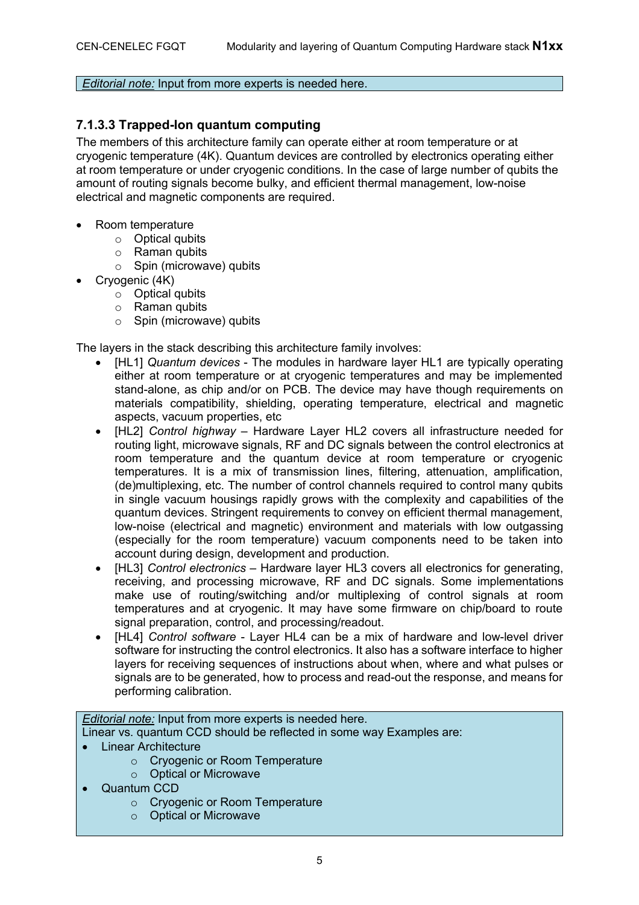#### *Editorial note:* Input from more experts is needed here.

#### **7.1.3.3 Trapped-Ion quantum computing**

The members of this architecture family can operate either at room temperature or at cryogenic temperature (4K). Quantum devices are controlled by electronics operating either at room temperature or under cryogenic conditions. In the case of large number of qubits the amount of routing signals become bulky, and efficient thermal management, low-noise electrical and magnetic components are required.

- Room temperature
	- o Optical qubits
	- o Raman qubits
	- $\circ$  Spin (microwave) qubits
- Crvogenic (4K)
	- o Optical qubits
	- o Raman qubits
	- $\circ$  Spin (microwave) qubits

The layers in the stack describing this architecture family involves:

- · [HL1] *Quantum devices* The modules in hardware layer HL1 are typically operating either at room temperature or at cryogenic temperatures and may be implemented stand-alone, as chip and/or on PCB. The device may have though requirements on materials compatibility, shielding, operating temperature, electrical and magnetic aspects, vacuum properties, etc
- · [HL2] *Control highway* Hardware Layer HL2 covers all infrastructure needed for routing light, microwave signals, RF and DC signals between the control electronics at room temperature and the quantum device at room temperature or cryogenic temperatures. It is a mix of transmission lines, filtering, attenuation, amplification, (de)multiplexing, etc. The number of control channels required to control many qubits in single vacuum housings rapidly grows with the complexity and capabilities of the quantum devices. Stringent requirements to convey on efficient thermal management, low-noise (electrical and magnetic) environment and materials with low outgassing (especially for the room temperature) vacuum components need to be taken into account during design, development and production.
- · [HL3] *Control electronics* Hardware layer HL3 covers all electronics for generating, receiving, and processing microwave, RF and DC signals. Some implementations make use of routing/switching and/or multiplexing of control signals at room temperatures and at cryogenic. It may have some firmware on chip/board to route signal preparation, control, and processing/readout.
- · [HL4] *Control software* Layer HL4 can be a mix of hardware and low-level driver software for instructing the control electronics. It also has a software interface to higher layers for receiving sequences of instructions about when, where and what pulses or signals are to be generated, how to process and read-out the response, and means for performing calibration.

#### *Editorial note:* Input from more experts is needed here.

Linear vs. quantum CCD should be reflected in some way Examples are:

- **Linear Architecture** 
	- o Cryogenic or Room Temperature
	- o Optical or Microwave
- · Quantum CCD
	- o Cryogenic or Room Temperature
	- o Optical or Microwave